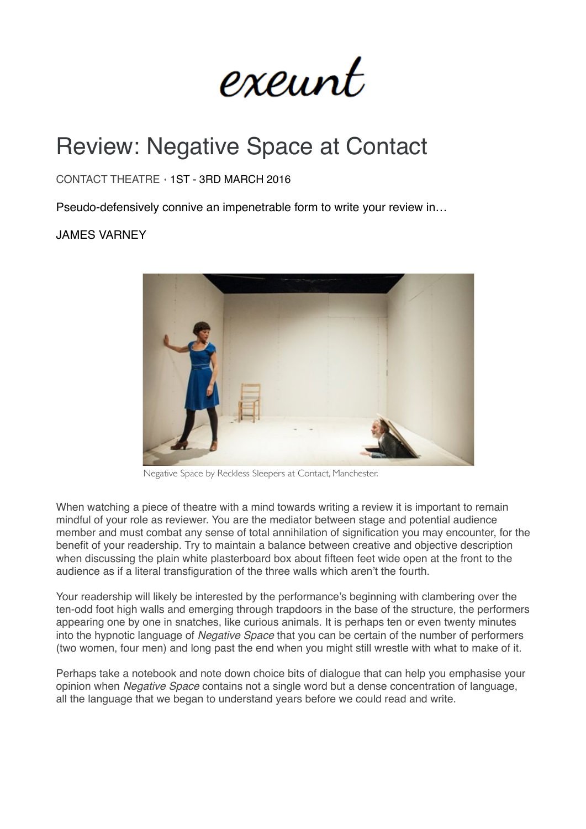exeunt

## Review: Negative Space at Contact

## CONTACT THEATRE ⋄ 1ST - 3RD MARCH 2016

Pseudo-defensively connive an impenetrable form to write your review in…

## JAMES VARNEY



Negative Space by Reckless Sleepers at Contact, Manchester.

When watching a piece of theatre with a mind towards writing a review it is important to remain mindful of your role as reviewer. You are the mediator between stage and potential audience member and must combat any sense of total annihilation of signification you may encounter, for the benefit of your readership. Try to maintain a balance between creative and objective description when discussing the plain white plasterboard box about fifteen feet wide open at the front to the audience as if a literal transfiguration of the three walls which aren't the fourth.

Your readership will likely be interested by the performance's beginning with clambering over the ten-odd foot high walls and emerging through trapdoors in the base of the structure, the performers appearing one by one in snatches, like curious animals. It is perhaps ten or even twenty minutes into the hypnotic language of *Negative Space* that you can be certain of the number of performers (two women, four men) and long past the end when you might still wrestle with what to make of it.

Perhaps take a notebook and note down choice bits of dialogue that can help you emphasise your opinion when *Negative Space* contains not a single word but a dense concentration of language, all the language that we began to understand years before we could read and write.